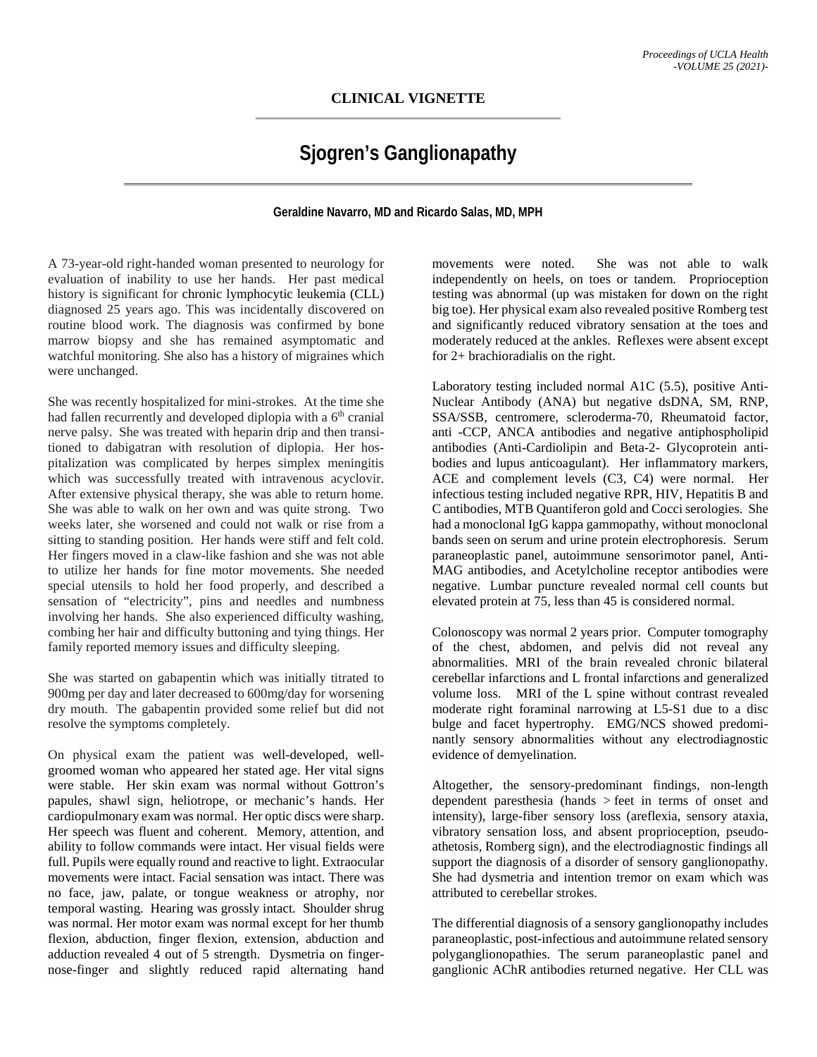# **CLINICAL VIGNETTE**

# **Sjogren's Ganglionapathy**

# **Geraldine Navarro, MD and Ricardo Salas, MD, MPH**

A 73-year-old right-handed woman presented to neurology for evaluation of inability to use her hands. Her past medical history is significant for chronic lymphocytic leukemia (CLL) diagnosed 25 years ago. This was incidentally discovered on routine blood work. The diagnosis was confirmed by bone marrow biopsy and she has remained asymptomatic and watchful monitoring. She also has a history of migraines which were unchanged.

She was recently hospitalized for mini-strokes. At the time she had fallen recurrently and developed diplopia with a 6<sup>th</sup> cranial nerve palsy. She was treated with heparin drip and then transitioned to dabigatran with resolution of diplopia. Her hospitalization was complicated by herpes simplex meningitis which was successfully treated with intravenous acyclovir. After extensive physical therapy, she was able to return home. She was able to walk on her own and was quite strong. Two weeks later, she worsened and could not walk or rise from a sitting to standing position. Her hands were stiff and felt cold. Her fingers moved in a claw-like fashion and she was not able to utilize her hands for fine motor movements. She needed special utensils to hold her food properly, and described a sensation of "electricity", pins and needles and numbness involving her hands. She also experienced difficulty washing, combing her hair and difficulty buttoning and tying things. Her family reported memory issues and difficulty sleeping.

She was started on gabapentin which was initially titrated to 900mg per day and later decreased to 600mg/day for worsening dry mouth. The gabapentin provided some relief but did not resolve the symptoms completely.

On physical exam the patient was well-developed, wellgroomed woman who appeared her stated age. Her vital signs were stable. Her skin exam was normal without Gottron's papules, shawl sign, heliotrope, or mechanic's hands. Her cardiopulmonary exam was normal. Her optic discs were sharp. Her speech was fluent and coherent. Memory, attention, and ability to follow commands were intact. Her visual fields were full. Pupils were equally round and reactive to light. Extraocular movements were intact. Facial sensation was intact. There was no face, jaw, palate, or tongue weakness or atrophy, nor temporal wasting. Hearing was grossly intact. Shoulder shrug was normal. Her motor exam was normal except for her thumb flexion, abduction, finger flexion, extension, abduction and adduction revealed 4 out of 5 strength. Dysmetria on fingernose-finger and slightly reduced rapid alternating hand

movements were noted. She was not able to walk independently on heels, on toes or tandem. Proprioception testing was abnormal (up was mistaken for down on the right big toe). Her physical exam also revealed positive Romberg test and significantly reduced vibratory sensation at the toes and moderately reduced at the ankles. Reflexes were absent except for 2+ brachioradialis on the right.

Laboratory testing included normal A1C (5.5), positive Anti-Nuclear Antibody (ANA) but negative dsDNA, SM, RNP, SSA/SSB, centromere, scleroderma-70, Rheumatoid factor, anti -CCP, ANCA antibodies and negative antiphospholipid antibodies (Anti-Cardiolipin and Beta-2- Glycoprotein antibodies and lupus anticoagulant). Her inflammatory markers, ACE and complement levels (C3, C4) were normal. Her infectious testing included negative RPR, HIV, Hepatitis B and C antibodies, MTB Quantiferon gold and Cocci serologies. She had a monoclonal IgG kappa gammopathy, without monoclonal bands seen on serum and urine protein electrophoresis. Serum paraneoplastic panel, autoimmune sensorimotor panel, Anti-MAG antibodies, and Acetylcholine receptor antibodies were negative. Lumbar puncture revealed normal cell counts but elevated protein at 75, less than 45 is considered normal.

Colonoscopy was normal 2 years prior. Computer tomography of the chest, abdomen, and pelvis did not reveal any abnormalities. MRI of the brain revealed chronic bilateral cerebellar infarctions and L frontal infarctions and generalized volume loss. MRI of the L spine without contrast revealed moderate right foraminal narrowing at L5-S1 due to a disc bulge and facet hypertrophy. EMG/NCS showed predominantly sensory abnormalities without any electrodiagnostic evidence of demyelination.

Altogether, the sensory-predominant findings, non-length dependent paresthesia (hands > feet in terms of onset and intensity), large-fiber sensory loss (areflexia, sensory ataxia, vibratory sensation loss, and absent proprioception, pseudoathetosis, Romberg sign), and the electrodiagnostic findings all support the diagnosis of a disorder of sensory ganglionopathy. She had dysmetria and intention tremor on exam which was attributed to cerebellar strokes.

The differential diagnosis of a sensory ganglionopathy includes paraneoplastic, post-infectious and autoimmune related sensory polyganglionopathies. The serum paraneoplastic panel and ganglionic AChR antibodies returned negative. Her CLL was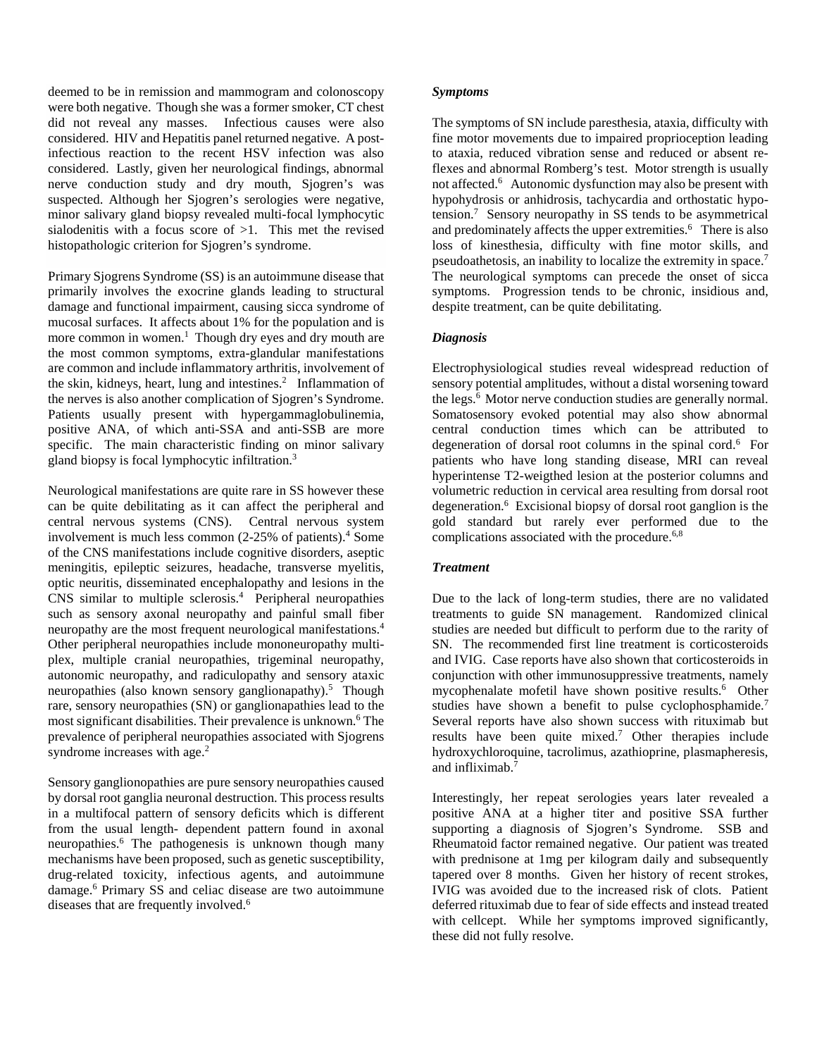deemed to be in remission and mammogram and colonoscopy were both negative. Though she was a former smoker, CT chest did not reveal any masses. Infectious causes were also considered. HIV and Hepatitis panel returned negative. A postinfectious reaction to the recent HSV infection was also considered. Lastly, given her neurological findings, abnormal nerve conduction study and dry mouth, Sjogren's was suspected. Although her Sjogren's serologies were negative, minor salivary gland biopsy revealed multi-focal lymphocytic sialodenitis with a focus score of  $>1$ . This met the revised histopathologic criterion for Sjogren's syndrome.

Primary Sjogrens Syndrome (SS) is an autoimmune disease that primarily involves the exocrine glands leading to structural damage and functional impairment, causing sicca syndrome of mucosal surfaces. It affects about 1% for the population and is more common in women. 1 Though dry eyes and dry mouth are the most common symptoms, extra-glandular manifestations are common and include inflammatory arthritis, involvement of the skin, kidneys, heart, lung and intestines. <sup>2</sup> Inflammation of the nerves is also another complication of Sjogren's Syndrome. Patients usually present with hypergammaglobulinemia, positive ANA, of which anti-SSA and anti-SSB are more specific. The main characteristic finding on minor salivary gland biopsy is focal lymphocytic infiltration.3

Neurological manifestations are quite rare in SS however these can be quite debilitating as it can affect the peripheral and central nervous systems (CNS). Central nervous system involvement is much less common  $(2-25\% \text{ of patients})^4$ . Some of the CNS manifestations include cognitive disorders, aseptic meningitis, epileptic seizures, headache, transverse myelitis, optic neuritis, disseminated encephalopathy and lesions in the CNS similar to multiple sclerosis. 4 Peripheral neuropathies such as sensory axonal neuropathy and painful small fiber neuropathy are the most frequent neurological manifestations.4 Other peripheral neuropathies include mononeuropathy multiplex, multiple cranial neuropathies, trigeminal neuropathy, autonomic neuropathy, and radiculopathy and sensory ataxic neuropathies (also known sensory ganglionapathy).<sup>5</sup> Though rare, sensory neuropathies (SN) or ganglionapathies lead to the most significant disabilities. Their prevalence is unknown.<sup>6</sup> The prevalence of peripheral neuropathies associated with Sjogrens syndrome increases with age.<sup>2</sup>

Sensory ganglionopathies are pure sensory neuropathies caused by dorsal root ganglia neuronal destruction. This process results in a multifocal pattern of sensory deficits which is different from the usual length- dependent pattern found in axonal neuropathies.6 The pathogenesis is unknown though many mechanisms have been proposed, such as genetic susceptibility, drug-related toxicity, infectious agents, and autoimmune damage. <sup>6</sup> Primary SS and celiac disease are two autoimmune diseases that are frequently involved.<sup>6</sup>

#### *Symptoms*

The symptoms of SN include paresthesia, ataxia, difficulty with fine motor movements due to impaired proprioception leading to ataxia, reduced vibration sense and reduced or absent reflexes and abnormal Romberg's test. Motor strength is usually not affected.6 Autonomic dysfunction may also be present with hypohydrosis or anhidrosis, tachycardia and orthostatic hypotension. 7 Sensory neuropathy in SS tends to be asymmetrical and predominately affects the upper extremities.<sup>6</sup> There is also loss of kinesthesia, difficulty with fine motor skills, and pseudoathetosis, an inability to localize the extremity in space.7 The neurological symptoms can precede the onset of sicca symptoms. Progression tends to be chronic, insidious and, despite treatment, can be quite debilitating.

## *Diagnosis*

Electrophysiological studies reveal widespread reduction of sensory potential amplitudes, without a distal worsening toward the legs.<sup>6</sup> Motor nerve conduction studies are generally normal. Somatosensory evoked potential may also show abnormal central conduction times which can be attributed to degeneration of dorsal root columns in the spinal cord.<sup>6</sup> For patients who have long standing disease, MRI can reveal hyperintense T2-weigthed lesion at the posterior columns and volumetric reduction in cervical area resulting from dorsal root degeneration.6 Excisional biopsy of dorsal root ganglion is the gold standard but rarely ever performed due to the complications associated with the procedure.<sup>6,8</sup>

#### *Treatment*

Due to the lack of long-term studies, there are no validated treatments to guide SN management. Randomized clinical studies are needed but difficult to perform due to the rarity of SN. The recommended first line treatment is corticosteroids and IVIG. Case reports have also shown that corticosteroids in conjunction with other immunosuppressive treatments, namely mycophenalate mofetil have shown positive results.<sup>6</sup> Other studies have shown a benefit to pulse cyclophosphamide.<sup>7</sup> Several reports have also shown success with rituximab but results have been quite mixed.7 Other therapies include hydroxychloroquine, tacrolimus, azathioprine, plasmapheresis, and infliximab. 7

Interestingly, her repeat serologies years later revealed a positive ANA at a higher titer and positive SSA further supporting a diagnosis of Sjogren's Syndrome. SSB and Rheumatoid factor remained negative. Our patient was treated with prednisone at 1mg per kilogram daily and subsequently tapered over 8 months. Given her history of recent strokes, IVIG was avoided due to the increased risk of clots. Patient deferred rituximab due to fear of side effects and instead treated with cellcept. While her symptoms improved significantly, these did not fully resolve.